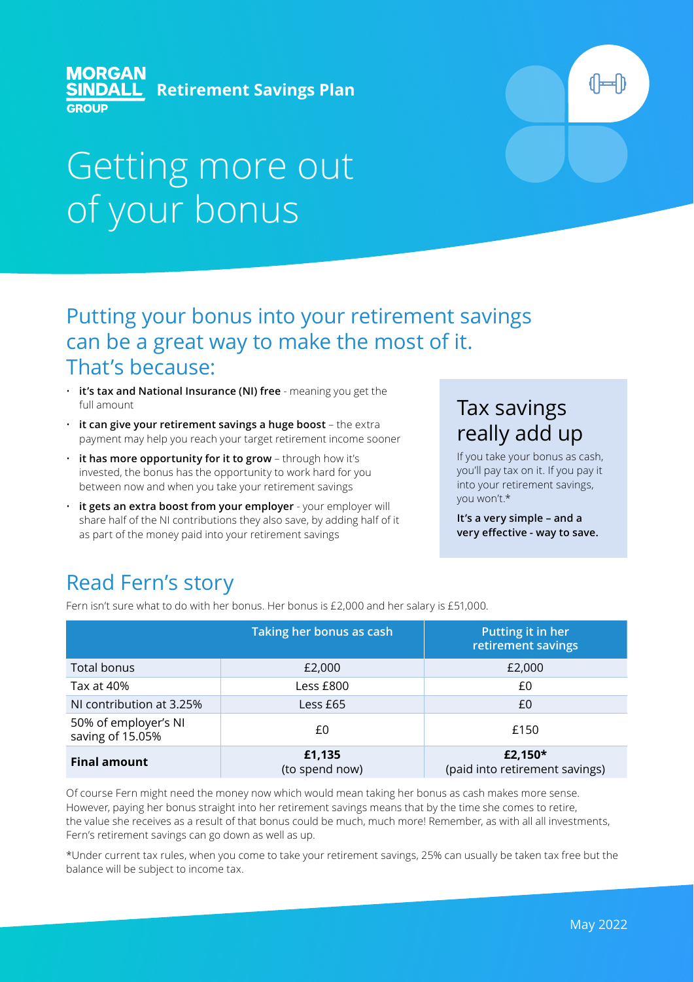#### **MORGAN Retirement Savings Plan GROUP**

# Getting more out of your bonus

#### Putting your bonus into your retirement savings can be a great way to make the most of it. That's because:

- **it's tax and National Insurance (NI) free** meaning you get the full amount
- **it can give your retirement savings a huge boost** the extra payment may help you reach your target retirement income sooner
- **it has more opportunity for it to grow** through how it's invested, the bonus has the opportunity to work hard for you between now and when you take your retirement savings
- **it gets an extra boost from your employer** your employer will share half of the NI contributions they also save, by adding half of it as part of the money paid into your retirement savings

# Tax savings really add up

If you take your bonus as cash, you'll pay tax on it. If you pay it into your retirement savings, you won't.\*

**It's a very simple – and a very effective - way to save.** 

# Read Fern's story

Fern isn't sure what to do with her bonus. Her bonus is £2,000 and her salary is £51,000.

|                                          | Taking her bonus as cash | Putting it in her<br>retirement savings   |  |
|------------------------------------------|--------------------------|-------------------------------------------|--|
| <b>Total bonus</b>                       | £2,000                   | £2,000                                    |  |
| Tax at 40%                               | Less £800                | £0                                        |  |
| NI contribution at 3.25%                 | Less £65                 | £0                                        |  |
| 50% of employer's NI<br>saving of 15.05% | £0                       | £150                                      |  |
| <b>Final amount</b>                      | £1,135<br>(to spend now) | £2,150*<br>(paid into retirement savings) |  |

Of course Fern might need the money now which would mean taking her bonus as cash makes more sense. However, paying her bonus straight into her retirement savings means that by the time she comes to retire, the value she receives as a result of that bonus could be much, much more! Remember, as with all all investments, Fern's retirement savings can go down as well as up.

\*Under current tax rules, when you come to take your retirement savings, 25% can usually be taken tax free but the balance will be subject to income tax.